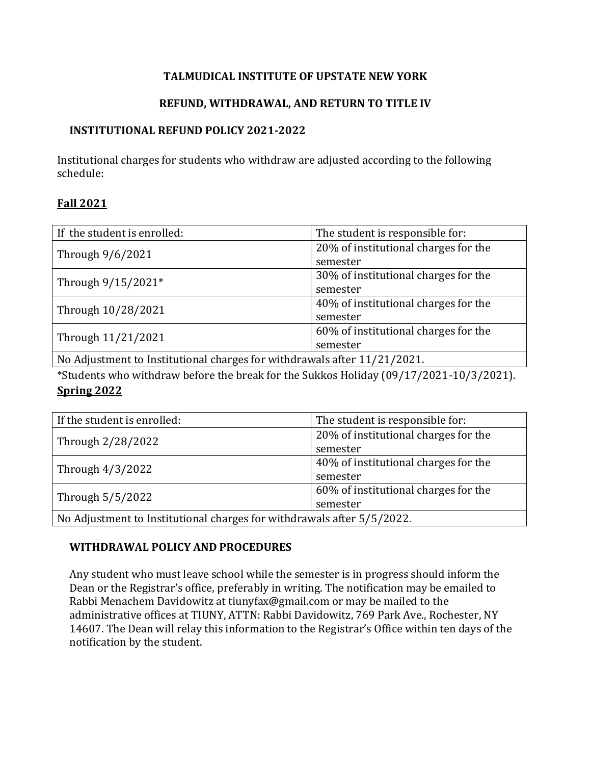### **TALMUDICAL INSTITUTE OF UPSTATE NEW YORK**

### **REFUND, WITHDRAWAL, AND RETURN TO TITLE IV**

#### **INSTITUTIONAL REFUND POLICY 2021-2022**

Institutional charges for students who withdraw are adjusted according to the following schedule:

#### **Fall 2021**

| If the student is enrolled:                                             | The student is responsible for:      |
|-------------------------------------------------------------------------|--------------------------------------|
| Through 9/6/2021                                                        | 20% of institutional charges for the |
|                                                                         | semester                             |
| Through 9/15/2021*                                                      | 30% of institutional charges for the |
|                                                                         | semester                             |
| Through 10/28/2021                                                      | 40% of institutional charges for the |
|                                                                         | semester                             |
| Through 11/21/2021                                                      | 60% of institutional charges for the |
|                                                                         | semester                             |
| No Adjustment to Institutional sharpes for withdrawals after 11/21/2021 |                                      |

No Adjustment to Institutional charges for withdrawals after 11/21/2021.

\*Students who withdraw before the break for the Sukkos Holiday (09/17/2021-10/3/2021). **Spring 2022**

| If the student is enrolled:                                            | The student is responsible for:      |
|------------------------------------------------------------------------|--------------------------------------|
| Through 2/28/2022                                                      | 20% of institutional charges for the |
|                                                                        | semester                             |
| Through 4/3/2022                                                       | 40% of institutional charges for the |
|                                                                        | semester                             |
| Through 5/5/2022                                                       | 60% of institutional charges for the |
|                                                                        | semester                             |
| No Adjustment to Institutional charges for withdrawals after 5/5/2022. |                                      |

# **WITHDRAWAL POLICY AND PROCEDURES**

Any student who must leave school while the semester is in progress should inform the Dean or the Registrar's office, preferably in writing. The notification may be emailed to Rabbi Menachem Davidowitz at tiunyfax@gmail.com or may be mailed to the administrative offices at TIUNY, ATTN: Rabbi Davidowitz, 769 Park Ave., Rochester, NY 14607. The Dean will relay this information to the Registrar's Office within ten days of the notification by the student.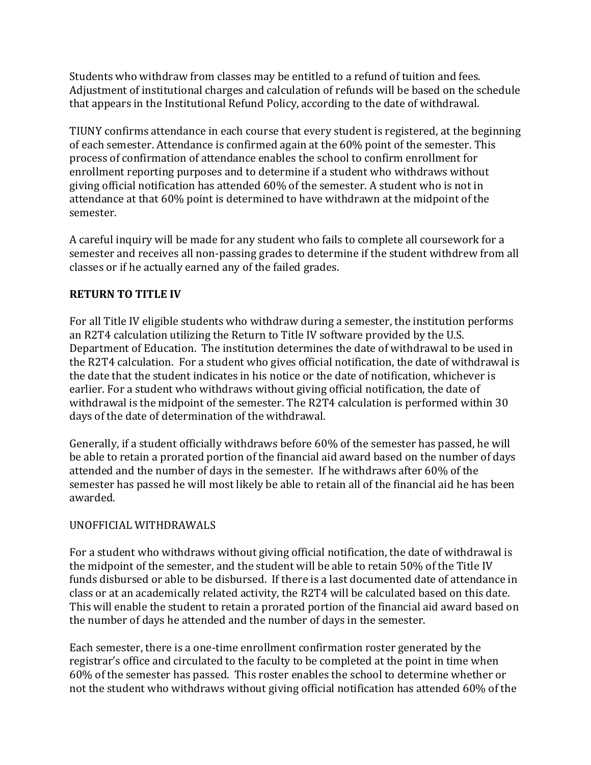Students who withdraw from classes may be entitled to a refund of tuition and fees. Adjustment of institutional charges and calculation of refunds will be based on the schedule that appears in the Institutional Refund Policy, according to the date of withdrawal.

TIUNY confirms attendance in each course that every student is registered, at the beginning of each semester. Attendance is confirmed again at the 60% point of the semester. This process of confirmation of attendance enables the school to confirm enrollment for enrollment reporting purposes and to determine if a student who withdraws without giving official notification has attended 60% of the semester. A student who is not in attendance at that 60% point is determined to have withdrawn at the midpoint of the semester.

A careful inquiry will be made for any student who fails to complete all coursework for a semester and receives all non-passing grades to determine if the student withdrew from all classes or if he actually earned any of the failed grades.

# **RETURN TO TITLE IV**

For all Title IV eligible students who withdraw during a semester, the institution performs an R2T4 calculation utilizing the Return to Title IV software provided by the U.S. Department of Education. The institution determines the date of withdrawal to be used in the R2T4 calculation. For a student who gives official notification, the date of withdrawal is the date that the student indicates in his notice or the date of notification, whichever is earlier. For a student who withdraws without giving official notification, the date of withdrawal is the midpoint of the semester. The R2T4 calculation is performed within 30 days of the date of determination of the withdrawal.

Generally, if a student officially withdraws before 60% of the semester has passed, he will be able to retain a prorated portion of the financial aid award based on the number of days attended and the number of days in the semester. If he withdraws after 60% of the semester has passed he will most likely be able to retain all of the financial aid he has been awarded.

# UNOFFICIAL WITHDRAWALS

For a student who withdraws without giving official notification, the date of withdrawal is the midpoint of the semester, and the student will be able to retain 50% of the Title IV funds disbursed or able to be disbursed. If there is a last documented date of attendance in class or at an academically related activity, the R2T4 will be calculated based on this date. This will enable the student to retain a prorated portion of the financial aid award based on the number of days he attended and the number of days in the semester.

Each semester, there is a one-time enrollment confirmation roster generated by the registrar's office and circulated to the faculty to be completed at the point in time when 60% of the semester has passed. This roster enables the school to determine whether or not the student who withdraws without giving official notification has attended 60% of the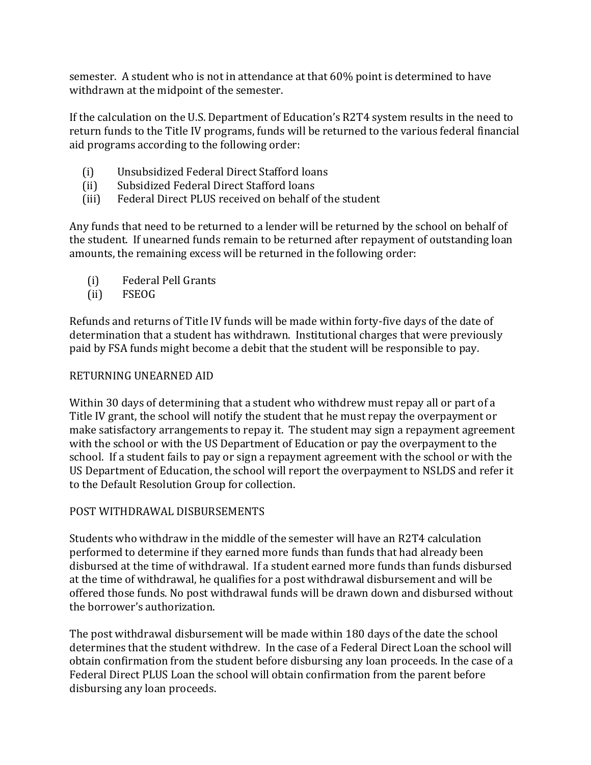semester. A student who is not in attendance at that 60% point is determined to have withdrawn at the midpoint of the semester.

If the calculation on the U.S. Department of Education's R2T4 system results in the need to return funds to the Title IV programs, funds will be returned to the various federal financial aid programs according to the following order:

- (i) Unsubsidized Federal Direct Stafford loans
- (ii) Subsidized Federal Direct Stafford loans
- (iii) Federal Direct PLUS received on behalf of the student

Any funds that need to be returned to a lender will be returned by the school on behalf of the student. If unearned funds remain to be returned after repayment of outstanding loan amounts, the remaining excess will be returned in the following order:

- (i) Federal Pell Grants
- (ii) FSEOG

Refunds and returns of Title IV funds will be made within forty-five days of the date of determination that a student has withdrawn. Institutional charges that were previously paid by FSA funds might become a debit that the student will be responsible to pay.

#### RETURNING UNEARNED AID

Within 30 days of determining that a student who withdrew must repay all or part of a Title IV grant, the school will notify the student that he must repay the overpayment or make satisfactory arrangements to repay it. The student may sign a repayment agreement with the school or with the US Department of Education or pay the overpayment to the school. If a student fails to pay or sign a repayment agreement with the school or with the US Department of Education, the school will report the overpayment to NSLDS and refer it to the Default Resolution Group for collection.

# POST WITHDRAWAL DISBURSEMENTS

Students who withdraw in the middle of the semester will have an R2T4 calculation performed to determine if they earned more funds than funds that had already been disbursed at the time of withdrawal. If a student earned more funds than funds disbursed at the time of withdrawal, he qualifies for a post withdrawal disbursement and will be offered those funds. No post withdrawal funds will be drawn down and disbursed without the borrower's authorization.

The post withdrawal disbursement will be made within 180 days of the date the school determines that the student withdrew. In the case of a Federal Direct Loan the school will obtain confirmation from the student before disbursing any loan proceeds. In the case of a Federal Direct PLUS Loan the school will obtain confirmation from the parent before disbursing any loan proceeds.